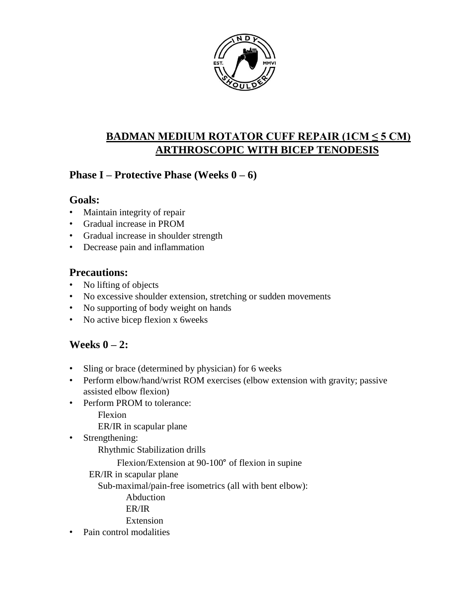

# **BADMAN MEDIUM ROTATOR CUFF REPAIR (1CM ≤ 5 CM) ARTHROSCOPIC WITH BICEP TENODESIS**

## **Phase I – Protective Phase (Weeks 0 – 6)**

### **Goals:**

- Maintain integrity of repair
- Gradual increase in PROM
- Gradual increase in shoulder strength
- Decrease pain and inflammation

## **Precautions:**

- No lifting of objects
- No excessive shoulder extension, stretching or sudden movements
- No supporting of body weight on hands
- No active bicep flexion x 6weeks

# **Weeks 0 – 2:**

- Sling or brace (determined by physician) for 6 weeks
- Perform elbow/hand/wrist ROM exercises (elbow extension with gravity; passive assisted elbow flexion)
- Perform PROM to tolerance:

Flexion

ER/IR in scapular plane

• Strengthening:

Rhythmic Stabilization drills

Flexion/Extension at 90-100° of flexion in supine

ER/IR in scapular plane

Sub-maximal/pain-free isometrics (all with bent elbow):

Abduction

ER/IR

Extension

• Pain control modalities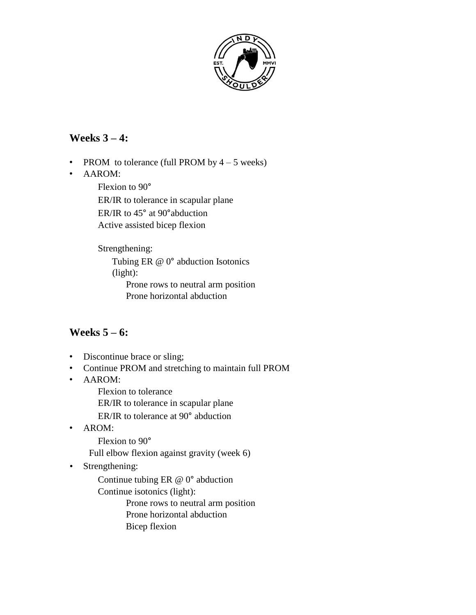

### **Weeks 3 – 4:**

- PROM to tolerance (full PROM by  $4 5$  weeks)
- AAROM:

Flexion to 90° ER/IR to tolerance in scapular plane ER/IR to 45° at 90°abduction Active assisted bicep flexion

Strengthening:

Tubing ER @ 0° abduction Isotonics (light):

Prone rows to neutral arm position Prone horizontal abduction

## **Weeks 5 – 6:**

- Discontinue brace or sling;
- Continue PROM and stretching to maintain full PROM
- AAROM:

Flexion to tolerance

ER/IR to tolerance in scapular plane

ER/IR to tolerance at 90° abduction

• AROM:

Flexion to 90°

Full elbow flexion against gravity (week 6)

• Strengthening:

Continue tubing ER @ 0° abduction

Continue isotonics (light):

Prone rows to neutral arm position Prone horizontal abduction Bicep flexion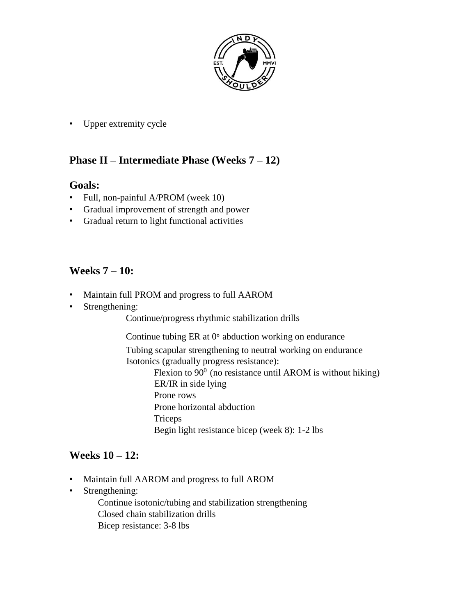

• Upper extremity cycle

### **Phase II – Intermediate Phase (Weeks 7 – 12)**

#### **Goals:**

- Full, non-painful A/PROM (week 10)
- Gradual improvement of strength and power
- Gradual return to light functional activities

## **Weeks 7 – 10:**

- Maintain full PROM and progress to full AAROM
- Strengthening:

Continue/progress rhythmic stabilization drills

Continue tubing ER at 0° abduction working on endurance Tubing scapular strengthening to neutral working on endurance Isotonics (gradually progress resistance): Flexion to  $90^0$  (no resistance until AROM is without hiking) ER/IR in side lying Prone rows Prone horizontal abduction

Triceps

Begin light resistance bicep (week 8): 1-2 lbs

#### **Weeks 10 – 12:**

- Maintain full AAROM and progress to full AROM
- Strengthening:

Continue isotonic/tubing and stabilization strengthening Closed chain stabilization drills Bicep resistance: 3-8 lbs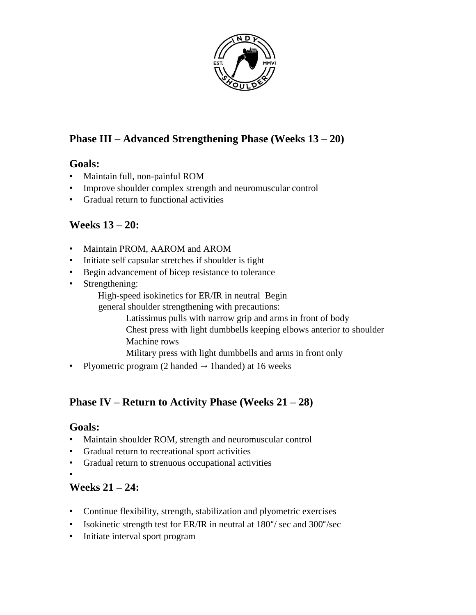

## **Phase III – Advanced Strengthening Phase (Weeks 13 – 20)**

#### **Goals:**

- Maintain full, non-painful ROM
- Improve shoulder complex strength and neuromuscular control
- Gradual return to functional activities

## **Weeks 13 – 20:**

- Maintain PROM, AAROM and AROM
- Initiate self capsular stretches if shoulder is tight
- Begin advancement of bicep resistance to tolerance
- Strengthening:
	- High-speed isokinetics for ER/IR in neutral Begin
	- general shoulder strengthening with precautions:
		- Latissimus pulls with narrow grip and arms in front of body Chest press with light dumbbells keeping elbows anterior to shoulder Machine rows
		- Military press with light dumbbells and arms in front only
- Plyometric program (2 handed  $\rightarrow$  1 handed) at 16 weeks

## **Phase IV – Return to Activity Phase (Weeks 21 – 28)**

#### **Goals:**

- Maintain shoulder ROM, strength and neuromuscular control
- Gradual return to recreational sport activities
- Gradual return to strenuous occupational activities
- •

## **Weeks 21 – 24:**

- Continue flexibility, strength, stabilization and plyometric exercises
- Isokinetic strength test for ER/IR in neutral at 180°/ sec and 300°/sec
- Initiate interval sport program